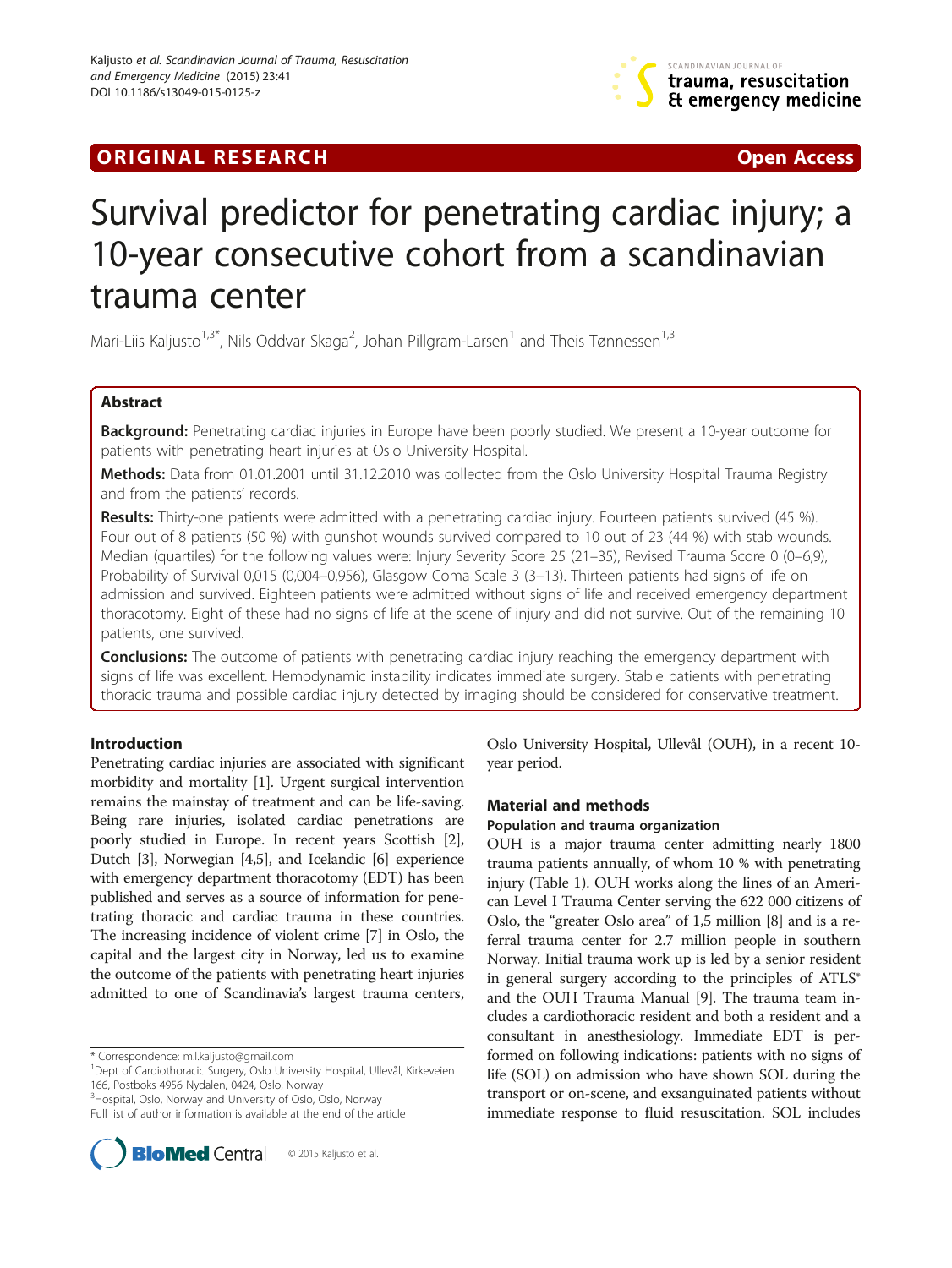

## **ORIGINAL RESEARCH CONFIDENTIAL CONFIDENTIAL CONFIDENTIAL CONFIDENTIAL CONFIDENTIAL CONFIDENTIAL CONFIDENTIAL CONFIDENTIAL CONFIDENTIAL CONFIDENTIAL CONFIDENTIAL CONFIDENTIAL CONFIDENTIAL CONFIDENTIAL CONFIDENTIAL CONFIDEN**

# Survival predictor for penetrating cardiac injury; a 10-year consecutive cohort from a scandinavian trauma center

Mari-Liis Kaljusto<sup>1,3\*</sup>, Nils Oddvar Skaga<sup>2</sup>, Johan Pillgram-Larsen<sup>1</sup> and Theis Tønnessen<sup>1,3</sup>

## Abstract

Background: Penetrating cardiac injuries in Europe have been poorly studied. We present a 10-year outcome for patients with penetrating heart injuries at Oslo University Hospital.

Methods: Data from 01.01.2001 until 31.12.2010 was collected from the Oslo University Hospital Trauma Registry and from the patients' records.

Results: Thirty-one patients were admitted with a penetrating cardiac injury. Fourteen patients survived (45 %). Four out of 8 patients (50 %) with gunshot wounds survived compared to 10 out of 23 (44 %) with stab wounds. Median (quartiles) for the following values were: Injury Severity Score 25 (21–35), Revised Trauma Score 0 (0–6,9), Probability of Survival 0,015 (0,004–0,956), Glasgow Coma Scale 3 (3–13). Thirteen patients had signs of life on admission and survived. Eighteen patients were admitted without signs of life and received emergency department thoracotomy. Eight of these had no signs of life at the scene of injury and did not survive. Out of the remaining 10 patients, one survived.

Conclusions: The outcome of patients with penetrating cardiac injury reaching the emergency department with signs of life was excellent. Hemodynamic instability indicates immediate surgery. Stable patients with penetrating thoracic trauma and possible cardiac injury detected by imaging should be considered for conservative treatment.

## Introduction

Penetrating cardiac injuries are associated with significant morbidity and mortality [\[1](#page-5-0)]. Urgent surgical intervention remains the mainstay of treatment and can be life-saving. Being rare injuries, isolated cardiac penetrations are poorly studied in Europe. In recent years Scottish [[2](#page-5-0)], Dutch [[3](#page-5-0)], Norwegian [\[4,5](#page-5-0)], and Icelandic [[6\]](#page-5-0) experience with emergency department thoracotomy (EDT) has been published and serves as a source of information for penetrating thoracic and cardiac trauma in these countries. The increasing incidence of violent crime [[7](#page-5-0)] in Oslo, the capital and the largest city in Norway, led us to examine the outcome of the patients with penetrating heart injuries admitted to one of Scandinavia's largest trauma centers,

\* Correspondence: [m.l.kaljusto@gmail.com](mailto:m.l.kaljusto@gmail.com) <sup>1</sup>

<sup>3</sup> Hospital, Oslo, Norway and University of Oslo, Oslo, Norway

Full list of author information is available at the end of the article



Oslo University Hospital, Ullevål (OUH), in a recent 10 year period.

## Material and methods

## Population and trauma organization

OUH is a major trauma center admitting nearly 1800 trauma patients annually, of whom 10 % with penetrating injury (Table [1\)](#page-1-0). OUH works along the lines of an American Level I Trauma Center serving the 622 000 citizens of Oslo, the "greater Oslo area" of 1,5 million [\[8](#page-5-0)] and is a referral trauma center for 2.7 million people in southern Norway. Initial trauma work up is led by a senior resident in general surgery according to the principles of ATLS® and the OUH Trauma Manual [\[9](#page-5-0)]. The trauma team includes a cardiothoracic resident and both a resident and a consultant in anesthesiology. Immediate EDT is performed on following indications: patients with no signs of life (SOL) on admission who have shown SOL during the transport or on-scene, and exsanguinated patients without immediate response to fluid resuscitation. SOL includes

Dept of Cardiothoracic Surgery, Oslo University Hospital, Ullevål, Kirkeveien 166, Postboks 4956 Nydalen, 0424, Oslo, Norway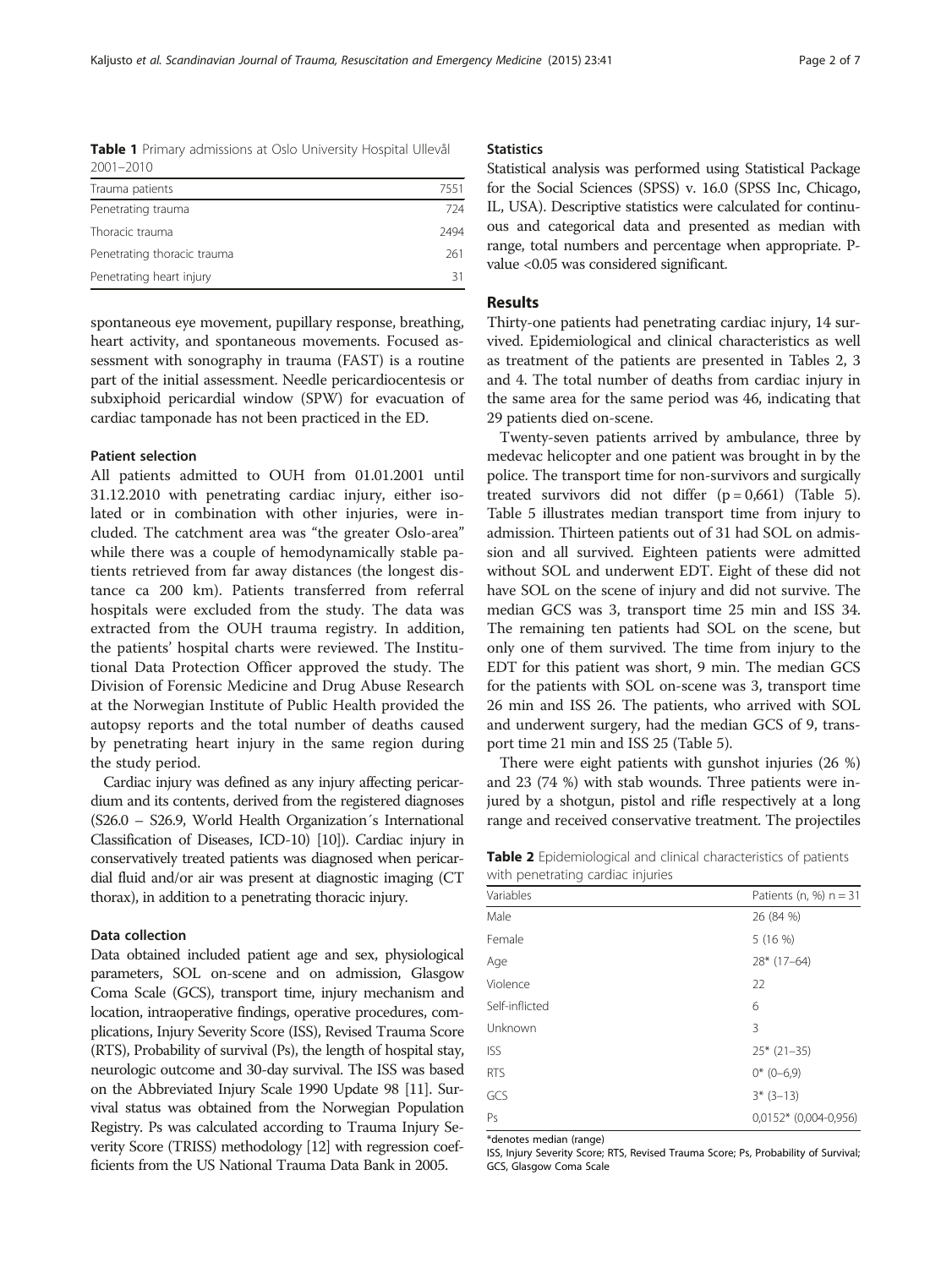<span id="page-1-0"></span>Table 1 Primary admissions at Oslo University Hospital Ullevål 2001–2010

| Trauma patients             | 7551 |
|-----------------------------|------|
| Penetrating trauma          | 724  |
| Thoracic trauma             | 2494 |
| Penetrating thoracic trauma | 261  |
| Penetrating heart injury    | 31   |

spontaneous eye movement, pupillary response, breathing, heart activity, and spontaneous movements. Focused assessment with sonography in trauma (FAST) is a routine part of the initial assessment. Needle pericardiocentesis or subxiphoid pericardial window (SPW) for evacuation of cardiac tamponade has not been practiced in the ED.

## Patient selection

All patients admitted to OUH from 01.01.2001 until 31.12.2010 with penetrating cardiac injury, either isolated or in combination with other injuries, were included. The catchment area was "the greater Oslo-area" while there was a couple of hemodynamically stable patients retrieved from far away distances (the longest distance ca 200 km). Patients transferred from referral hospitals were excluded from the study. The data was extracted from the OUH trauma registry. In addition, the patients' hospital charts were reviewed. The Institutional Data Protection Officer approved the study. The Division of Forensic Medicine and Drug Abuse Research at the Norwegian Institute of Public Health provided the autopsy reports and the total number of deaths caused by penetrating heart injury in the same region during the study period.

Cardiac injury was defined as any injury affecting pericardium and its contents, derived from the registered diagnoses (S26.0 – S26.9, World Health Organization´s International Classification of Diseases, ICD-10) [\[10\]](#page-5-0)). Cardiac injury in conservatively treated patients was diagnosed when pericardial fluid and/or air was present at diagnostic imaging (CT thorax), in addition to a penetrating thoracic injury.

### Data collection

Data obtained included patient age and sex, physiological parameters, SOL on-scene and on admission, Glasgow Coma Scale (GCS), transport time, injury mechanism and location, intraoperative findings, operative procedures, complications, Injury Severity Score (ISS), Revised Trauma Score (RTS), Probability of survival (Ps), the length of hospital stay, neurologic outcome and 30-day survival. The ISS was based on the Abbreviated Injury Scale 1990 Update 98 [\[11](#page-6-0)]. Survival status was obtained from the Norwegian Population Registry. Ps was calculated according to Trauma Injury Severity Score (TRISS) methodology [[12\]](#page-6-0) with regression coefficients from the US National Trauma Data Bank in 2005.

## **Statistics**

Statistical analysis was performed using Statistical Package for the Social Sciences (SPSS) v. 16.0 (SPSS Inc, Chicago, IL, USA). Descriptive statistics were calculated for continuous and categorical data and presented as median with range, total numbers and percentage when appropriate. Pvalue <0.05 was considered significant.

#### Results

Thirty-one patients had penetrating cardiac injury, 14 survived. Epidemiological and clinical characteristics as well as treatment of the patients are presented in Tables 2, [3](#page-2-0) and [4.](#page-2-0) The total number of deaths from cardiac injury in the same area for the same period was 46, indicating that 29 patients died on-scene.

Twenty-seven patients arrived by ambulance, three by medevac helicopter and one patient was brought in by the police. The transport time for non-survivors and surgically treated survivors did not differ  $(p = 0.661)$  (Table [5](#page-2-0)). Table [5](#page-2-0) illustrates median transport time from injury to admission. Thirteen patients out of 31 had SOL on admission and all survived. Eighteen patients were admitted without SOL and underwent EDT. Eight of these did not have SOL on the scene of injury and did not survive. The median GCS was 3, transport time 25 min and ISS 34. The remaining ten patients had SOL on the scene, but only one of them survived. The time from injury to the EDT for this patient was short, 9 min. The median GCS for the patients with SOL on-scene was 3, transport time 26 min and ISS 26. The patients, who arrived with SOL and underwent surgery, had the median GCS of 9, transport time 21 min and ISS 25 (Table [5](#page-2-0)).

There were eight patients with gunshot injuries (26 %) and 23 (74 %) with stab wounds. Three patients were injured by a shotgun, pistol and rifle respectively at a long range and received conservative treatment. The projectiles

Table 2 Epidemiological and clinical characteristics of patients with penetrating cardiac injuries

| where perfected they can also inflantes |                          |  |  |  |
|-----------------------------------------|--------------------------|--|--|--|
| Variables                               | Patients (n, %) $n = 31$ |  |  |  |
| Male                                    | 26 (84 %)                |  |  |  |
| Female                                  | 5(16%)                   |  |  |  |
| Age                                     | $28*(17-64)$             |  |  |  |
| Violence                                | 22                       |  |  |  |
| Self-inflicted                          | 6                        |  |  |  |
| Unknown                                 | 3                        |  |  |  |
| <b>ISS</b>                              | $25*(21-35)$             |  |  |  |
| <b>RTS</b>                              | $0*$ (0-6,9)             |  |  |  |
| GCS                                     | $3*(3-13)$               |  |  |  |
| Ps                                      | $0,0152*$ (0,004-0,956)  |  |  |  |

\*denotes median (range)

ISS, Injury Severity Score; RTS, Revised Trauma Score; Ps, Probability of Survival; GCS, Glasgow Coma Scale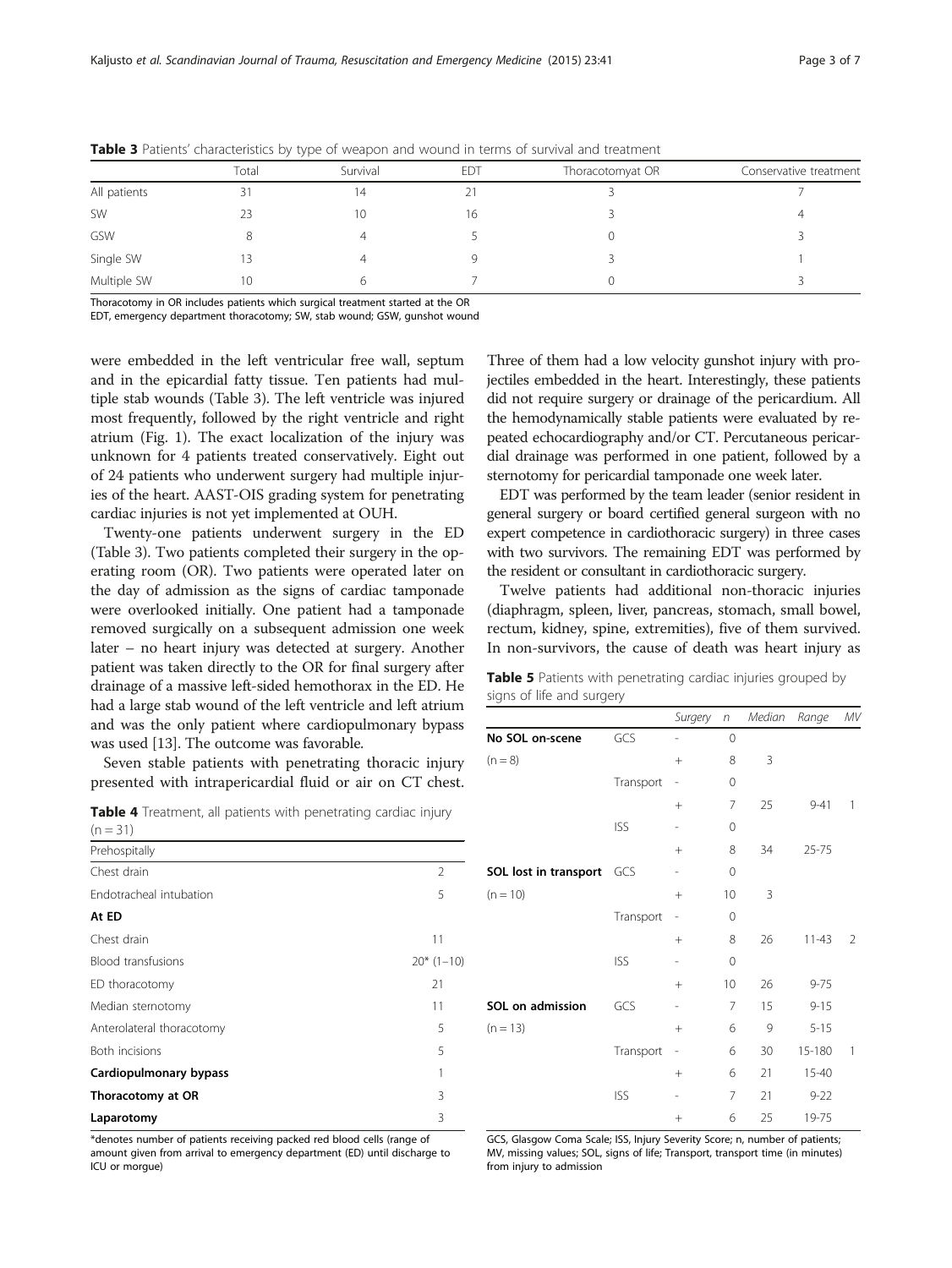|              | Total | Survival | EDT | Thoracotomyat OR | Conservative treatment |
|--------------|-------|----------|-----|------------------|------------------------|
| All patients | 31    | 14       |     |                  |                        |
| SW           |       | 10       | 16  |                  |                        |
| GSW          |       | 4        |     |                  |                        |
| Single SW    |       |          |     |                  |                        |
| Multiple SW  | 10    | b        |     |                  |                        |

<span id="page-2-0"></span>Table 3 Patients' characteristics by type of weapon and wound in terms of survival and treatment

Thoracotomy in OR includes patients which surgical treatment started at the OR

EDT, emergency department thoracotomy; SW, stab wound; GSW, gunshot wound

were embedded in the left ventricular free wall, septum and in the epicardial fatty tissue. Ten patients had multiple stab wounds (Table 3). The left ventricle was injured most frequently, followed by the right ventricle and right atrium (Fig. [1](#page-3-0)). The exact localization of the injury was unknown for 4 patients treated conservatively. Eight out of 24 patients who underwent surgery had multiple injuries of the heart. AAST-OIS grading system for penetrating cardiac injuries is not yet implemented at OUH.

Twenty-one patients underwent surgery in the ED (Table 3). Two patients completed their surgery in the operating room (OR). Two patients were operated later on the day of admission as the signs of cardiac tamponade were overlooked initially. One patient had a tamponade removed surgically on a subsequent admission one week later – no heart injury was detected at surgery. Another patient was taken directly to the OR for final surgery after drainage of a massive left-sided hemothorax in the ED. He had a large stab wound of the left ventricle and left atrium and was the only patient where cardiopulmonary bypass was used [\[13\]](#page-6-0). The outcome was favorable.

Seven stable patients with penetrating thoracic injury presented with intrapericardial fluid or air on CT chest.

Table 4 Treatment, all patients with penetrating cardiac injury  $(n = 31)$ 

| Prehospitally             |                |
|---------------------------|----------------|
| Chest drain               | $\mathfrak{D}$ |
| Endotracheal intubation   | 5              |
| At ED                     |                |
| Chest drain               | 11             |
| <b>Blood transfusions</b> | $20*(1-10)$    |
| ED thoracotomy            | 21             |
| Median sternotomy         | 11             |
| Anterolateral thoracotomy | 5              |
| Both incisions            | 5              |
| Cardiopulmonary bypass    | 1              |
| Thoracotomy at OR         | 3              |
| Laparotomy                | 3              |

\*denotes number of patients receiving packed red blood cells (range of amount given from arrival to emergency department (ED) until discharge to ICU or morgue)

Three of them had a low velocity gunshot injury with projectiles embedded in the heart. Interestingly, these patients did not require surgery or drainage of the pericardium. All the hemodynamically stable patients were evaluated by repeated echocardiography and/or CT. Percutaneous pericardial drainage was performed in one patient, followed by a sternotomy for pericardial tamponade one week later.

EDT was performed by the team leader (senior resident in general surgery or board certified general surgeon with no expert competence in cardiothoracic surgery) in three cases with two survivors. The remaining EDT was performed by the resident or consultant in cardiothoracic surgery.

Twelve patients had additional non-thoracic injuries (diaphragm, spleen, liver, pancreas, stomach, small bowel, rectum, kidney, spine, extremities), five of them survived. In non-survivors, the cause of death was heart injury as

Table 5 Patients with penetrating cardiac injuries grouped by signs of life and surgery

|                       |            | Surgery | $\sqrt{n}$  | Median | Range     | MV             |
|-----------------------|------------|---------|-------------|--------|-----------|----------------|
| No SOL on-scene       | GCS        |         | 0           |        |           |                |
| $(n = 8)$             |            | $^{+}$  | 8           | 3      |           |                |
|                       | Transport  | -       | 0           |        |           |                |
|                       |            | $^{+}$  | 7           | 25     | $9 - 41$  | 1              |
|                       | <b>ISS</b> |         | $\mathbf 0$ |        |           |                |
|                       |            | $^{+}$  | 8           | 34     | $25 - 75$ |                |
| SOL lost in transport | GCS        |         | 0           |        |           |                |
| $(n = 10)$            |            | $^{+}$  | 10          | 3      |           |                |
|                       | Transport  | -       | 0           |        |           |                |
|                       |            | $+$     | 8           | 26     | $11 - 43$ | $\mathfrak{D}$ |
|                       | <b>ISS</b> |         | 0           |        |           |                |
|                       |            | $^{+}$  | 10          | 26     | $9 - 75$  |                |
| SOL on admission      | GCS        | -       | 7           | 15     | $9 - 15$  |                |
| $(n = 13)$            |            | $+$     | 6           | 9      | $5 - 15$  |                |
|                       | Transport  | -       | 6           | 30     | 15-180    | 1              |
|                       |            | $^{+}$  | 6           | 21     | $15 - 40$ |                |
|                       | <b>ISS</b> | -       | 7           | 21     | $9 - 22$  |                |
|                       |            | $^{+}$  | 6           | 25     | 19-75     |                |

GCS, Glasgow Coma Scale; ISS, Injury Severity Score; n, number of patients; MV, missing values; SOL, signs of life; Transport, transport time (in minutes) from injury to admission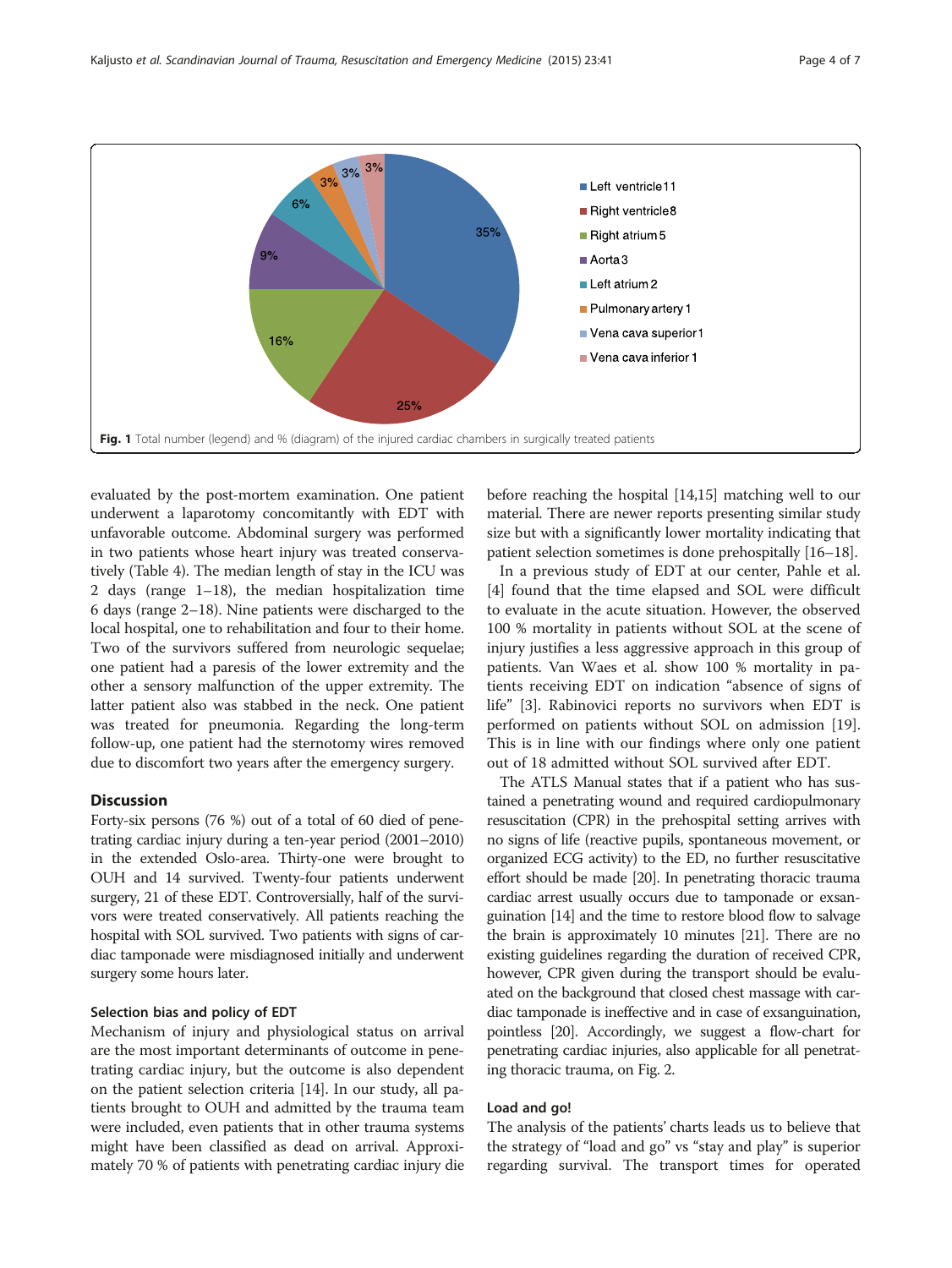<span id="page-3-0"></span>

evaluated by the post-mortem examination. One patient underwent a laparotomy concomitantly with EDT with unfavorable outcome. Abdominal surgery was performed in two patients whose heart injury was treated conservatively (Table [4](#page-2-0)). The median length of stay in the ICU was 2 days (range 1–18), the median hospitalization time 6 days (range 2–18). Nine patients were discharged to the local hospital, one to rehabilitation and four to their home. Two of the survivors suffered from neurologic sequelae; one patient had a paresis of the lower extremity and the other a sensory malfunction of the upper extremity. The latter patient also was stabbed in the neck. One patient was treated for pneumonia. Regarding the long-term follow-up, one patient had the sternotomy wires removed due to discomfort two years after the emergency surgery.

## **Discussion**

Forty-six persons (76 %) out of a total of 60 died of penetrating cardiac injury during a ten-year period (2001–2010) in the extended Oslo-area. Thirty-one were brought to OUH and 14 survived. Twenty-four patients underwent surgery, 21 of these EDT. Controversially, half of the survivors were treated conservatively. All patients reaching the hospital with SOL survived. Two patients with signs of cardiac tamponade were misdiagnosed initially and underwent surgery some hours later.

## Selection bias and policy of EDT

Mechanism of injury and physiological status on arrival are the most important determinants of outcome in penetrating cardiac injury, but the outcome is also dependent on the patient selection criteria [[14](#page-6-0)]. In our study, all patients brought to OUH and admitted by the trauma team were included, even patients that in other trauma systems might have been classified as dead on arrival. Approximately 70 % of patients with penetrating cardiac injury die before reaching the hospital [[14](#page-6-0),[15](#page-6-0)] matching well to our material. There are newer reports presenting similar study size but with a significantly lower mortality indicating that patient selection sometimes is done prehospitally [\[16](#page-6-0)–[18\]](#page-6-0).

In a previous study of EDT at our center, Pahle et al. [[4\]](#page-5-0) found that the time elapsed and SOL were difficult to evaluate in the acute situation. However, the observed 100 % mortality in patients without SOL at the scene of injury justifies a less aggressive approach in this group of patients. Van Waes et al. show 100 % mortality in patients receiving EDT on indication "absence of signs of life" [[3](#page-5-0)]. Rabinovici reports no survivors when EDT is performed on patients without SOL on admission [\[19](#page-6-0)]. This is in line with our findings where only one patient out of 18 admitted without SOL survived after EDT.

The ATLS Manual states that if a patient who has sustained a penetrating wound and required cardiopulmonary resuscitation (CPR) in the prehospital setting arrives with no signs of life (reactive pupils, spontaneous movement, or organized ECG activity) to the ED, no further resuscitative effort should be made [[20](#page-6-0)]. In penetrating thoracic trauma cardiac arrest usually occurs due to tamponade or exsanguination [\[14\]](#page-6-0) and the time to restore blood flow to salvage the brain is approximately 10 minutes [[21](#page-6-0)]. There are no existing guidelines regarding the duration of received CPR, however, CPR given during the transport should be evaluated on the background that closed chest massage with cardiac tamponade is ineffective and in case of exsanguination, pointless [\[20\]](#page-6-0). Accordingly, we suggest a flow-chart for penetrating cardiac injuries, also applicable for all penetrating thoracic trauma, on Fig. [2](#page-4-0).

## Load and go!

The analysis of the patients' charts leads us to believe that the strategy of "load and go" vs "stay and play" is superior regarding survival. The transport times for operated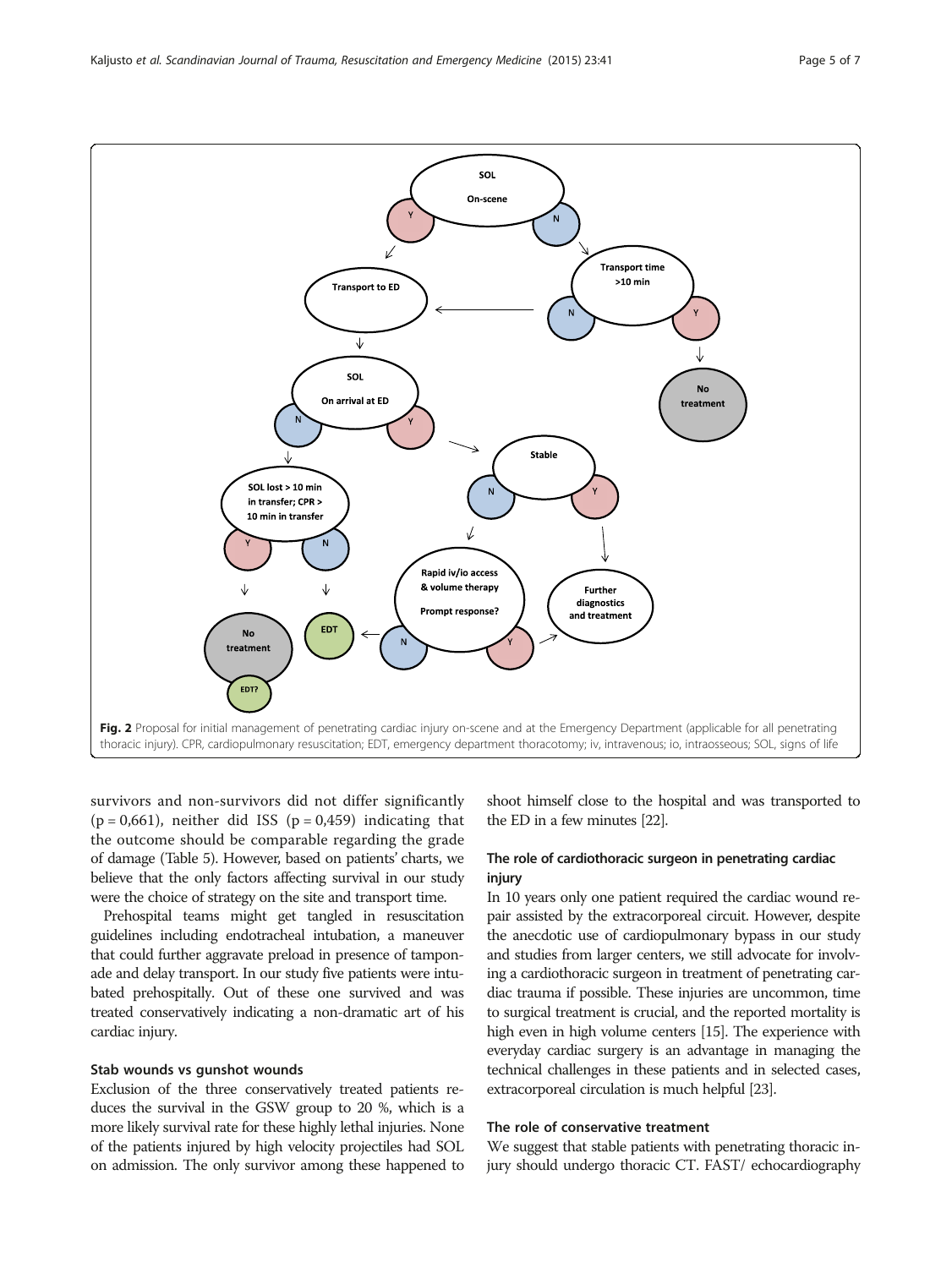<span id="page-4-0"></span>

survivors and non-survivors did not differ significantly  $(p = 0.661)$ , neither did ISS  $(p = 0.459)$  indicating that the outcome should be comparable regarding the grade of damage (Table [5\)](#page-2-0). However, based on patients' charts, we believe that the only factors affecting survival in our study were the choice of strategy on the site and transport time.

Prehospital teams might get tangled in resuscitation guidelines including endotracheal intubation, a maneuver that could further aggravate preload in presence of tamponade and delay transport. In our study five patients were intubated prehospitally. Out of these one survived and was treated conservatively indicating a non-dramatic art of his cardiac injury.

## Stab wounds vs gunshot wounds

Exclusion of the three conservatively treated patients reduces the survival in the GSW group to 20 %, which is a more likely survival rate for these highly lethal injuries. None of the patients injured by high velocity projectiles had SOL on admission. The only survivor among these happened to

shoot himself close to the hospital and was transported to the ED in a few minutes [\[22](#page-6-0)].

## The role of cardiothoracic surgeon in penetrating cardiac injury

In 10 years only one patient required the cardiac wound repair assisted by the extracorporeal circuit. However, despite the anecdotic use of cardiopulmonary bypass in our study and studies from larger centers, we still advocate for involving a cardiothoracic surgeon in treatment of penetrating cardiac trauma if possible. These injuries are uncommon, time to surgical treatment is crucial, and the reported mortality is high even in high volume centers [\[15\]](#page-6-0). The experience with everyday cardiac surgery is an advantage in managing the technical challenges in these patients and in selected cases, extracorporeal circulation is much helpful [[23](#page-6-0)].

## The role of conservative treatment

We suggest that stable patients with penetrating thoracic injury should undergo thoracic CT. FAST/ echocardiography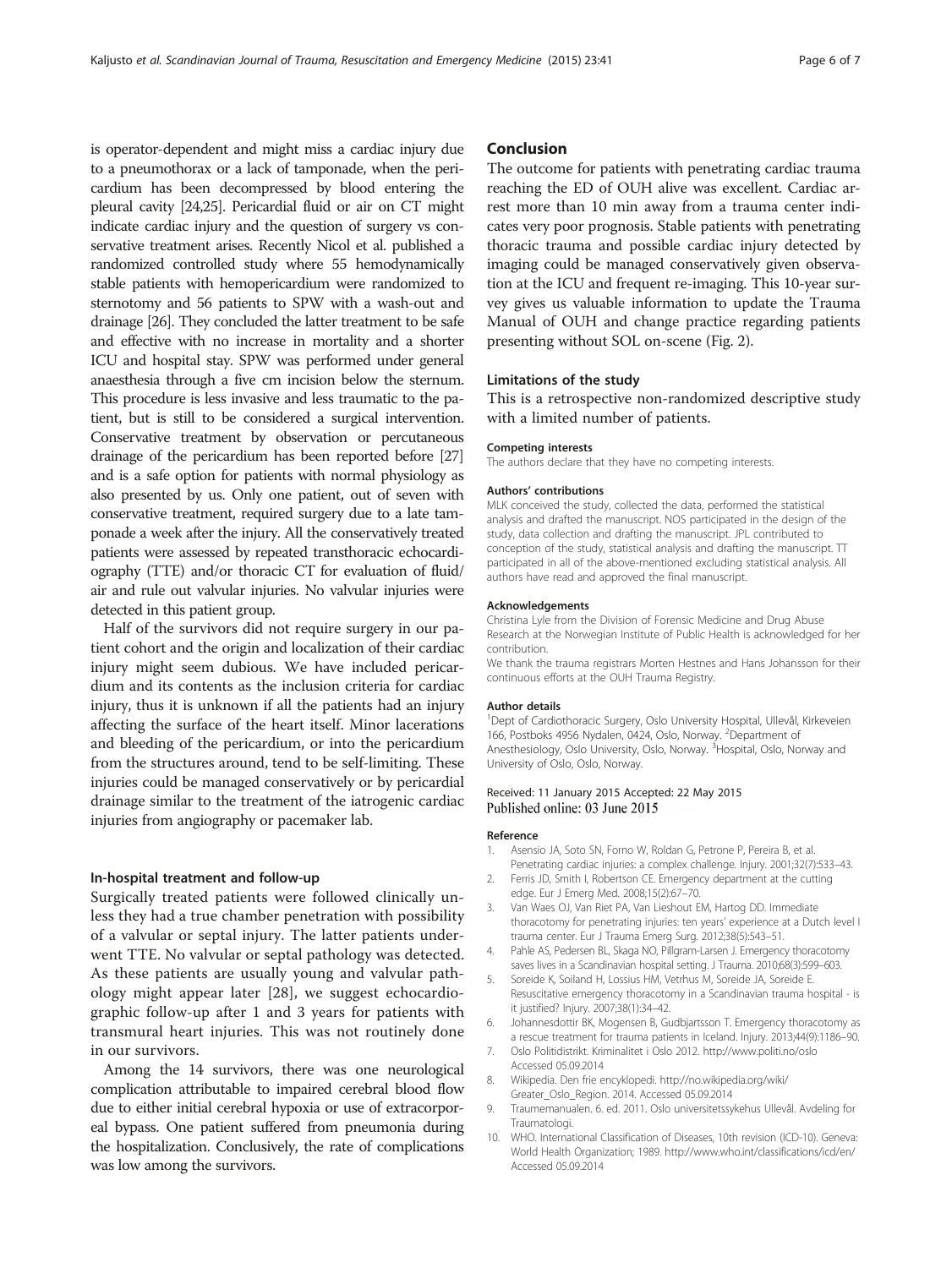<span id="page-5-0"></span>is operator-dependent and might miss a cardiac injury due to a pneumothorax or a lack of tamponade, when the pericardium has been decompressed by blood entering the pleural cavity [[24,25](#page-6-0)]. Pericardial fluid or air on CT might indicate cardiac injury and the question of surgery vs conservative treatment arises. Recently Nicol et al. published a randomized controlled study where 55 hemodynamically stable patients with hemopericardium were randomized to sternotomy and 56 patients to SPW with a wash-out and drainage [\[26](#page-6-0)]. They concluded the latter treatment to be safe and effective with no increase in mortality and a shorter ICU and hospital stay. SPW was performed under general anaesthesia through a five cm incision below the sternum. This procedure is less invasive and less traumatic to the patient, but is still to be considered a surgical intervention. Conservative treatment by observation or percutaneous drainage of the pericardium has been reported before [\[27](#page-6-0)] and is a safe option for patients with normal physiology as also presented by us. Only one patient, out of seven with conservative treatment, required surgery due to a late tamponade a week after the injury. All the conservatively treated patients were assessed by repeated transthoracic echocardiography (TTE) and/or thoracic CT for evaluation of fluid/ air and rule out valvular injuries. No valvular injuries were detected in this patient group.

Half of the survivors did not require surgery in our patient cohort and the origin and localization of their cardiac injury might seem dubious. We have included pericardium and its contents as the inclusion criteria for cardiac injury, thus it is unknown if all the patients had an injury affecting the surface of the heart itself. Minor lacerations and bleeding of the pericardium, or into the pericardium from the structures around, tend to be self-limiting. These injuries could be managed conservatively or by pericardial drainage similar to the treatment of the iatrogenic cardiac injuries from angiography or pacemaker lab.

## In-hospital treatment and follow-up

Surgically treated patients were followed clinically unless they had a true chamber penetration with possibility of a valvular or septal injury. The latter patients underwent TTE. No valvular or septal pathology was detected. As these patients are usually young and valvular pathology might appear later [[28\]](#page-6-0), we suggest echocardiographic follow-up after 1 and 3 years for patients with transmural heart injuries. This was not routinely done in our survivors.

Among the 14 survivors, there was one neurological complication attributable to impaired cerebral blood flow due to either initial cerebral hypoxia or use of extracorporeal bypass. One patient suffered from pneumonia during the hospitalization. Conclusively, the rate of complications was low among the survivors.

#### Conclusion

The outcome for patients with penetrating cardiac trauma reaching the ED of OUH alive was excellent. Cardiac arrest more than 10 min away from a trauma center indicates very poor prognosis. Stable patients with penetrating thoracic trauma and possible cardiac injury detected by imaging could be managed conservatively given observation at the ICU and frequent re-imaging. This 10-year survey gives us valuable information to update the Trauma Manual of OUH and change practice regarding patients presenting without SOL on-scene (Fig. [2](#page-4-0)).

## Limitations of the study

This is a retrospective non-randomized descriptive study with a limited number of patients.

#### Competing interests

The authors declare that they have no competing interests.

#### Authors' contributions

MLK conceived the study, collected the data, performed the statistical analysis and drafted the manuscript. NOS participated in the design of the study, data collection and drafting the manuscript. JPL contributed to conception of the study, statistical analysis and drafting the manuscript. TT participated in all of the above-mentioned excluding statistical analysis. All authors have read and approved the final manuscript.

#### Acknowledgements

Christina Lyle from the Division of Forensic Medicine and Drug Abuse Research at the Norwegian Institute of Public Health is acknowledged for her contribution.

We thank the trauma registrars Morten Hestnes and Hans Johansson for their continuous efforts at the OUH Trauma Registry.

#### Author details

<sup>1</sup>Dept of Cardiothoracic Surgery, Oslo University Hospital, Ullevål, Kirkeveien 166, Postboks 4956 Nydalen, 0424, Oslo, Norway. <sup>2</sup>Department of Anesthesiology, Oslo University, Oslo, Norway. <sup>3</sup> Hospital, Oslo, Norway and University of Oslo, Oslo, Norway.

#### Received: 11 January 2015 Accepted: 22 May 2015 Published online: 03 June 2015

#### Reference

- 1. Asensio JA, Soto SN, Forno W, Roldan G, Petrone P, Pereira B, et al. Penetrating cardiac injuries: a complex challenge. Injury. 2001;32(7):533–43.
- 2. Ferris JD, Smith I, Robertson CE. Emergency department at the cutting edge. Eur J Emerg Med. 2008;15(2):67–70.
- 3. Van Waes OJ, Van Riet PA, Van Lieshout EM, Hartog DD. Immediate thoracotomy for penetrating injuries: ten years' experience at a Dutch level I trauma center. Eur J Trauma Emerg Surg. 2012;38(5):543–51.
- 4. Pahle AS, Pedersen BL, Skaga NO, Pillgram-Larsen J. Emergency thoracotomy saves lives in a Scandinavian hospital setting. J Trauma. 2010;68(3):599–603.
- 5. Soreide K, Soiland H, Lossius HM, Vetrhus M, Soreide JA, Soreide E. Resuscitative emergency thoracotomy in a Scandinavian trauma hospital - is it justified? Injury. 2007;38(1):34–42.
- 6. Johannesdottir BK, Mogensen B, Gudbjartsson T. Emergency thoracotomy as a rescue treatment for trauma patients in Iceland. Injury. 2013;44(9):1186–90.
- 7. Oslo Politidistrikt. Kriminalitet i Oslo 2012.<http://www.politi.no/oslo> Accessed 05.09.2014
- 8. Wikipedia. Den frie encyklopedi. [http://no.wikipedia.org/wiki/](http://no.wikipedia.org/wiki/Greater_Oslo_Region) [Greater\\_Oslo\\_Region](http://no.wikipedia.org/wiki/Greater_Oslo_Region). 2014. Accessed 05.09.2014
- 9. Traumemanualen. 6. ed. 2011. Oslo universitetssykehus Ullevål. Avdeling for Traumatologi.
- 10. WHO. International Classification of Diseases, 10th revision (ICD-10). Geneva: World Health Organization; 1989.<http://www.who.int/classifications/icd/en/> Accessed 05.09.2014